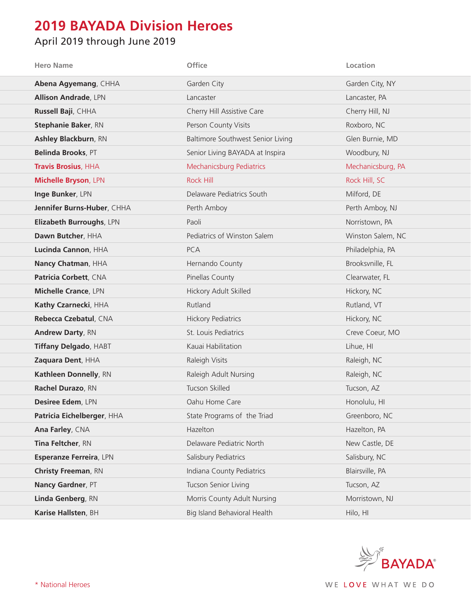## **2019 BAYADA Division Heroes**

## April 2019 through June 2019

| <b>Hero Name</b>             | Office                            | Location          |
|------------------------------|-----------------------------------|-------------------|
| Abena Agyemang, CHHA         | Garden City                       | Garden City, NY   |
| <b>Allison Andrade, LPN</b>  | Lancaster                         | Lancaster, PA     |
| Russell Baji, CHHA           | Cherry Hill Assistive Care        | Cherry Hill, NJ   |
| <b>Stephanie Baker, RN</b>   | Person County Visits              | Roxboro, NC       |
| Ashley Blackburn, RN         | Baltimore Southwest Senior Living | Glen Burnie, MD   |
| Belinda Brooks, PT           | Senior Living BAYADA at Inspira   | Woodbury, NJ      |
| <b>Travis Brosius, HHA</b>   | Mechanicsburg Pediatrics          | Mechanicsburg, PA |
| Michelle Bryson, LPN         | <b>Rock Hill</b>                  | Rock Hill, SC     |
| Inge Bunker, LPN             | Delaware Pediatrics South         | Milford, DE       |
| Jennifer Burns-Huber, CHHA   | Perth Amboy                       | Perth Amboy, NJ   |
| Elizabeth Burroughs, LPN     | Paoli                             | Norristown, PA    |
| Dawn Butcher, HHA            | Pediatrics of Winston Salem       | Winston Salem, NC |
| Lucinda Cannon, HHA          | <b>PCA</b>                        | Philadelphia, PA  |
| Nancy Chatman, HHA           | Hernando County                   | Brooksvnille, FL  |
| Patricia Corbett, CNA        | Pinellas County                   | Clearwater, FL    |
| <b>Michelle Crance, LPN</b>  | Hickory Adult Skilled             | Hickory, NC       |
| Kathy Czarnecki, HHA         | Rutland                           | Rutland, VT       |
| Rebecca Czebatul, CNA        | <b>Hickory Pediatrics</b>         | Hickory, NC       |
| <b>Andrew Darty, RN</b>      | St. Louis Pediatrics              | Creve Coeur, MO   |
| <b>Tiffany Delgado, HABT</b> | Kauai Habilitation                | Lihue, HI         |
| Zaquara Dent, HHA            | Raleigh Visits                    | Raleigh, NC       |
| Kathleen Donnelly, RN        | Raleigh Adult Nursing             | Raleigh, NC       |
| Rachel Durazo, RN            | Tucson Skilled                    | Tucson, AZ        |
| Desiree Edem, LPN            | Oahu Home Care                    | Honolulu, HI      |
| Patricia Eichelberger, HHA   | State Programs of the Triad       | Greenboro, NC     |
| Ana Farley, CNA              | Hazelton                          | Hazelton, PA      |
| Tina Feltcher, RN            | Delaware Pediatric North          | New Castle, DE    |
| Esperanze Ferreira, LPN      | Salisbury Pediatrics              | Salisbury, NC     |
| <b>Christy Freeman, RN</b>   | Indiana County Pediatrics         | Blairsville, PA   |
| Nancy Gardner, PT            | Tucson Senior Living              | Tucson, AZ        |
| Linda Genberg, RN            | Morris County Adult Nursing       | Morristown, NJ    |
| Karise Hallsten, BH          | Big Island Behavioral Health      | Hilo, HI          |

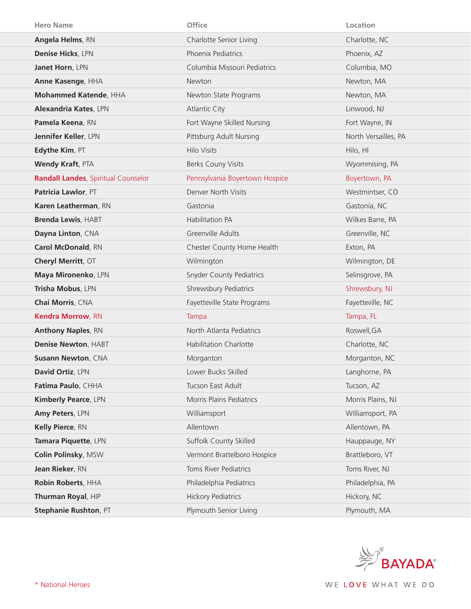| <b>Hero Name</b>                           | <b>Office</b>                   | Location             |
|--------------------------------------------|---------------------------------|----------------------|
| Angela Helms, RN                           | Charlotte Senior Living         | Charlotte, NC        |
| Denise Hicks, LPN                          | Phoenix Pediatrics              | Phoenix, AZ          |
| Janet Horn, LPN                            | Columbia Missouri Pediatrics    | Columbia, MO         |
| Anne Kasenge, HHA                          | Newton                          | Newton, MA           |
| Mohammed Katende, HHA                      | Newton State Programs           | Newton, MA           |
| <b>Alexandria Kates, LPN</b>               | <b>Atlantic City</b>            | Linwood, NJ          |
| Pamela Keena, RN                           | Fort Wayne Skilled Nursing      | Fort Wayne, IN       |
| Jennifer Keller, LPN                       | Pittsburg Adult Nursing         | North Versailles, PA |
| Edythe Kim, PT                             | Hilo Visits                     | Hilo, HI             |
| <b>Wendy Kraft, PTA</b>                    | Berks Couny Visits              | Wyommising, PA       |
| <b>Randall Landes, Spiritual Counselor</b> | Pennsylvania Boyertown Hospice  | Boyertown, PA        |
| Patricia Lawlor, PT                        | Denver North Visits             | Westmintser, CO      |
| Karen Leatherman, RN                       | Gastonia                        | Gastonia, NC         |
| <b>Brenda Lewis, HABT</b>                  | Habilitation PA                 | Wilkes Barre, PA     |
| Dayna Linton, CNA                          | Greenville Adults               | Greenville, NC       |
| Carol McDonald, RN                         | Chester County Home Health      | Exton, PA            |
| Cheryl Merritt, OT                         | Wilmington                      | Wilmington, DE       |
| Maya Mironenko, LPN                        | <b>Snyder County Pediatrics</b> | Selinsgrove, PA      |
| Trisha Mobus, LPN                          | Shrewsbury Pediatrics           | Shrewsbury, NJ       |
| Chai Morris, CNA                           | Fayetteville State Programs     | Fayetteville, NC     |
| Kendra Morrow, RN                          | Tampa                           | Tampa, FL            |
| <b>Anthony Naples, RN</b>                  | North Atlanta Pediatrics        | Roswell, GA          |
| Denise Newton, HABT                        | <b>Habilitation Charlotte</b>   | Charlotte, NC        |
| <b>Susann Newton, CNA</b>                  | Morganton                       | Morganton, NC        |
| David Ortiz, LPN                           | Lower Bucks Skilled             | Langhorne, PA        |
| Fatima Paulo, CHHA                         | Tucson East Adult               | Tucson, AZ           |
| Kimberly Pearce, LPN                       | Morris Plains Pediatrics        | Morris Plains, NJ    |
| Amy Peters, LPN                            | Williamsport                    | Williamsport, PA     |
| Kelly Pierce, RN                           | Allentown                       | Allentown, PA        |
| Tamara Piquette, LPN                       | Suffolk County Skilled          | Hauppauge, NY        |
| Colin Polinsky, MSW                        | Vermont Brattelboro Hospice     | Brattleboro, VT      |
| Jean Rieker, RN                            | Toms River Pediatrics           | Toms River, NJ       |
| Robin Roberts, HHA                         | Philadelphia Pediatrics         | Philadelphia, PA     |
| Thurman Royal, HIP                         | <b>Hickory Pediatrics</b>       | Hickory, NC          |
| Stephanie Rushton, PT                      | Plymouth Senior Living          | Plymouth, MA         |